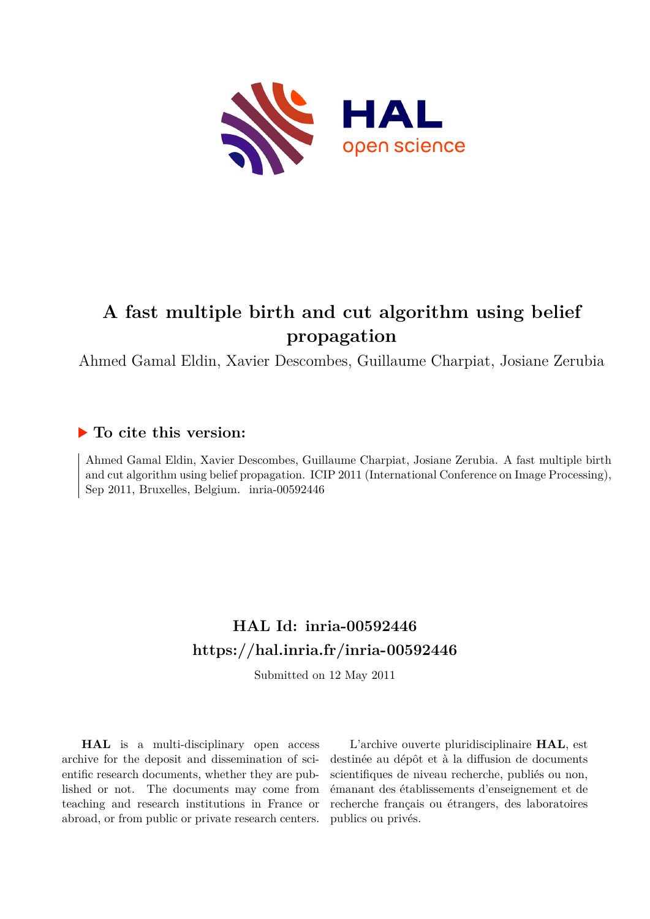

# **A fast multiple birth and cut algorithm using belief propagation**

Ahmed Gamal Eldin, Xavier Descombes, Guillaume Charpiat, Josiane Zerubia

## **To cite this version:**

Ahmed Gamal Eldin, Xavier Descombes, Guillaume Charpiat, Josiane Zerubia. A fast multiple birth and cut algorithm using belief propagation. ICIP 2011 (International Conference on Image Processing), Sep 2011, Bruxelles, Belgium. inria-00592446

## **HAL Id: inria-00592446 <https://hal.inria.fr/inria-00592446>**

Submitted on 12 May 2011

**HAL** is a multi-disciplinary open access archive for the deposit and dissemination of scientific research documents, whether they are published or not. The documents may come from teaching and research institutions in France or abroad, or from public or private research centers.

L'archive ouverte pluridisciplinaire **HAL**, est destinée au dépôt et à la diffusion de documents scientifiques de niveau recherche, publiés ou non, émanant des établissements d'enseignement et de recherche français ou étrangers, des laboratoires publics ou privés.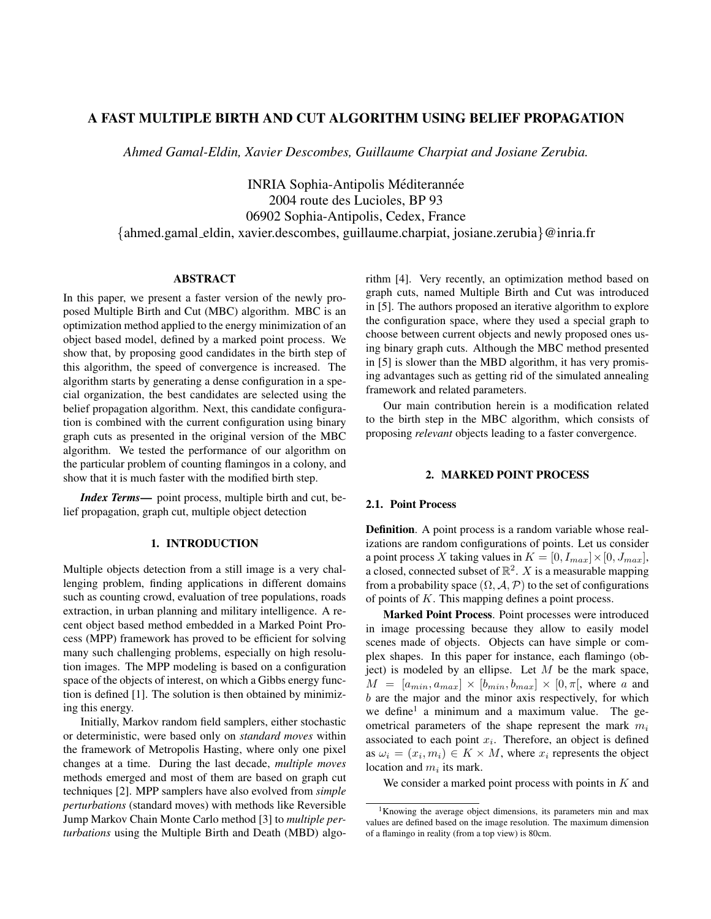### A FAST MULTIPLE BIRTH AND CUT ALGORITHM USING BELIEF PROPAGATION

*Ahmed Gamal-Eldin, Xavier Descombes, Guillaume Charpiat and Josiane Zerubia.*

INRIA Sophia-Antipolis Méditerannée 2004 route des Lucioles, BP 93 06902 Sophia-Antipolis, Cedex, France {ahmed.gamal eldin, xavier.descombes, guillaume.charpiat, josiane.zerubia}@inria.fr

#### ABSTRACT

In this paper, we present a faster version of the newly proposed Multiple Birth and Cut (MBC) algorithm. MBC is an optimization method applied to the energy minimization of an object based model, defined by a marked point process. We show that, by proposing good candidates in the birth step of this algorithm, the speed of convergence is increased. The algorithm starts by generating a dense configuration in a special organization, the best candidates are selected using the belief propagation algorithm. Next, this candidate configuration is combined with the current configuration using binary graph cuts as presented in the original version of the MBC algorithm. We tested the performance of our algorithm on the particular problem of counting flamingos in a colony, and show that it is much faster with the modified birth step.

*Index Terms*— point process, multiple birth and cut, belief propagation, graph cut, multiple object detection

#### 1. INTRODUCTION

Multiple objects detection from a still image is a very challenging problem, finding applications in different domains such as counting crowd, evaluation of tree populations, roads extraction, in urban planning and military intelligence. A recent object based method embedded in a Marked Point Process (MPP) framework has proved to be efficient for solving many such challenging problems, especially on high resolution images. The MPP modeling is based on a configuration space of the objects of interest, on which a Gibbs energy function is defined [1]. The solution is then obtained by minimizing this energy.

Initially, Markov random field samplers, either stochastic or deterministic, were based only on *standard moves* within the framework of Metropolis Hasting, where only one pixel changes at a time. During the last decade, *multiple moves* methods emerged and most of them are based on graph cut techniques [2]. MPP samplers have also evolved from *simple perturbations* (standard moves) with methods like Reversible Jump Markov Chain Monte Carlo method [3] to *multiple perturbations* using the Multiple Birth and Death (MBD) algorithm [4]. Very recently, an optimization method based on graph cuts, named Multiple Birth and Cut was introduced in [5]. The authors proposed an iterative algorithm to explore the configuration space, where they used a special graph to choose between current objects and newly proposed ones using binary graph cuts. Although the MBC method presented in [5] is slower than the MBD algorithm, it has very promising advantages such as getting rid of the simulated annealing framework and related parameters.

Our main contribution herein is a modification related to the birth step in the MBC algorithm, which consists of proposing *relevant* objects leading to a faster convergence.

#### 2. MARKED POINT PROCESS

#### 2.1. Point Process

Definition. A point process is a random variable whose realizations are random configurations of points. Let us consider a point process X taking values in  $K = [0, I_{max}] \times [0, J_{max}]$ , a closed, connected subset of  $\mathbb{R}^2$ . X is a measurable mapping from a probability space  $(\Omega, \mathcal{A}, \mathcal{P})$  to the set of configurations of points of  $K$ . This mapping defines a point process.

Marked Point Process. Point processes were introduced in image processing because they allow to easily model scenes made of objects. Objects can have simple or complex shapes. In this paper for instance, each flamingo (object) is modeled by an ellipse. Let  $M$  be the mark space,  $M = [a_{min}, a_{max}] \times [b_{min}, b_{max}] \times [0, \pi]$ , where a and b are the major and the minor axis respectively, for which we define<sup>1</sup> a minimum and a maximum value. The geometrical parameters of the shape represent the mark  $m_i$ associated to each point  $x_i$ . Therefore, an object is defined as  $\omega_i = (x_i, m_i) \in K \times M$ , where  $x_i$  represents the object location and  $m_i$  its mark.

We consider a marked point process with points in  $K$  and

<sup>&</sup>lt;sup>1</sup>Knowing the average object dimensions, its parameters min and max values are defined based on the image resolution. The maximum dimension of a flamingo in reality (from a top view) is 80cm.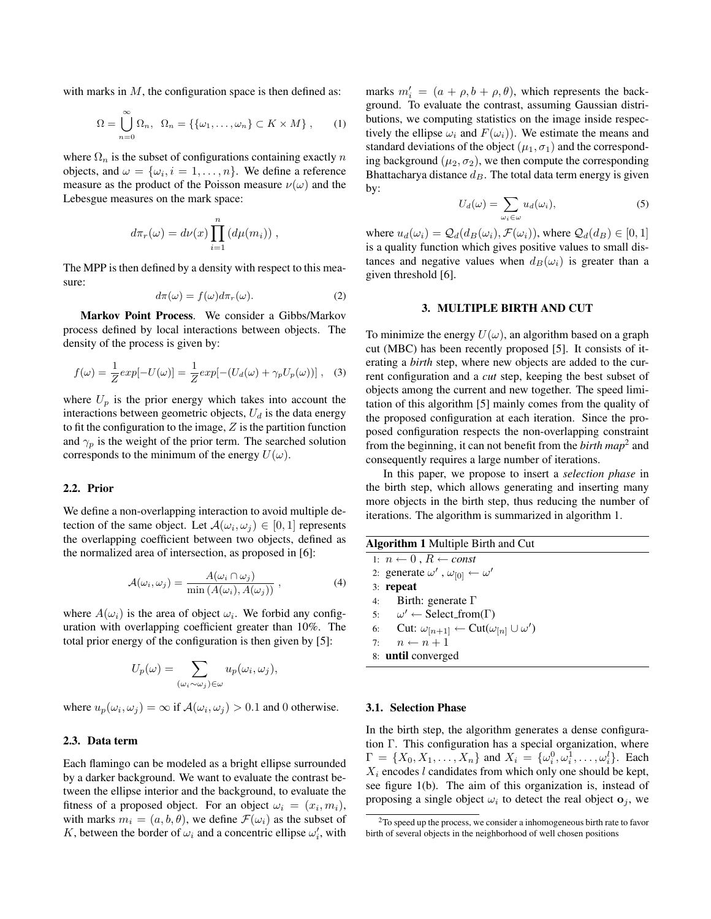with marks in  $M$ , the configuration space is then defined as:

$$
\Omega = \bigcup_{n=0}^{\infty} \Omega_n, \ \Omega_n = \{\{\omega_1, \ldots, \omega_n\} \subset K \times M\}, \qquad (1)
$$

where  $\Omega_n$  is the subset of configurations containing exactly n objects, and  $\omega = {\{\omega_i, i = 1, \dots, n\}}$ . We define a reference measure as the product of the Poisson measure  $\nu(\omega)$  and the Lebesgue measures on the mark space:

$$
d\pi_r(\omega) = d\nu(x) \prod_{i=1}^n (d\mu(m_i)),
$$

The MPP is then defined by a density with respect to this measure:

$$
d\pi(\omega) = f(\omega)d\pi_r(\omega). \tag{2}
$$

Markov Point Process. We consider a Gibbs/Markov process defined by local interactions between objects. The density of the process is given by:

$$
f(\omega) = \frac{1}{Z} exp[-U(\omega)] = \frac{1}{Z} exp[-(U_d(\omega) + \gamma_p U_p(\omega))], \quad (3)
$$

where  $U_p$  is the prior energy which takes into account the interactions between geometric objects,  $U_d$  is the data energy to fit the configuration to the image,  $Z$  is the partition function and  $\gamma_p$  is the weight of the prior term. The searched solution corresponds to the minimum of the energy  $U(\omega)$ .

#### 2.2. Prior

We define a non-overlapping interaction to avoid multiple detection of the same object. Let  $\mathcal{A}(\omega_i, \omega_j) \in [0, 1]$  represents the overlapping coefficient between two objects, defined as the normalized area of intersection, as proposed in [6]:

$$
\mathcal{A}(\omega_i, \omega_j) = \frac{A(\omega_i \cap \omega_j)}{\min(A(\omega_i), A(\omega_j))},
$$
\n(4)

where  $A(\omega_i)$  is the area of object  $\omega_i$ . We forbid any configuration with overlapping coefficient greater than 10%. The total prior energy of the configuration is then given by [5]:

$$
U_p(\omega) = \sum_{(\omega_i \sim \omega_j) \in \omega} u_p(\omega_i, \omega_j),
$$

where  $u_p(\omega_i, \omega_j) = \infty$  if  $\mathcal{A}(\omega_i, \omega_j) > 0.1$  and 0 otherwise.

#### 2.3. Data term

Each flamingo can be modeled as a bright ellipse surrounded by a darker background. We want to evaluate the contrast between the ellipse interior and the background, to evaluate the fitness of a proposed object. For an object  $\omega_i = (x_i, m_i)$ , with marks  $m_i = (a, b, \theta)$ , we define  $\mathcal{F}(\omega_i)$  as the subset of K, between the border of  $\omega_i$  and a concentric ellipse  $\omega'_i$ , with

marks  $m'_i = (a + \rho, b + \rho, \theta)$ , which represents the background. To evaluate the contrast, assuming Gaussian distributions, we computing statistics on the image inside respectively the ellipse  $\omega_i$  and  $F(\omega_i)$ ). We estimate the means and standard deviations of the object  $(\mu_1, \sigma_1)$  and the corresponding background  $(\mu_2, \sigma_2)$ , we then compute the corresponding Bhattacharya distance  $d_B$ . The total data term energy is given by:

$$
U_d(\omega) = \sum_{\omega_i \in \omega} u_d(\omega_i), \tag{5}
$$

where  $u_d(\omega_i) = Q_d(d_B(\omega_i), \mathcal{F}(\omega_i))$ , where  $Q_d(d_B) \in [0, 1]$ is a quality function which gives positive values to small distances and negative values when  $d_B(\omega_i)$  is greater than a given threshold [6].

#### 3. MULTIPLE BIRTH AND CUT

To minimize the energy  $U(\omega)$ , an algorithm based on a graph cut (MBC) has been recently proposed [5]. It consists of iterating a *birth* step, where new objects are added to the current configuration and a *cut* step, keeping the best subset of objects among the current and new together. The speed limitation of this algorithm [5] mainly comes from the quality of the proposed configuration at each iteration. Since the proposed configuration respects the non-overlapping constraint from the beginning, it can not benefit from the *birth map*<sup>2</sup> and consequently requires a large number of iterations.

In this paper, we propose to insert a *selection phase* in the birth step, which allows generating and inserting many more objects in the birth step, thus reducing the number of iterations. The algorithm is summarized in algorithm 1.

| <b>Algorithm 1</b> Multiple Birth and Cut                                 |
|---------------------------------------------------------------------------|
| 1: $n \leftarrow 0$ , $R \leftarrow const$                                |
| 2: generate $\omega'$ , $\omega_{[0]} \leftarrow \omega'$                 |
| $3:$ repeat                                                               |
| 4: Birth: generate $\Gamma$                                               |
| 5: $\omega' \leftarrow$ Select_from( $\Gamma$ )                           |
| 6: Cut: $\omega_{[n+1]} \leftarrow \text{Cut}(\omega_{[n]} \cup \omega')$ |
| 7: $n \leftarrow n+1$                                                     |
| 8: <b>until</b> converged                                                 |
|                                                                           |

#### 3.1. Selection Phase

In the birth step, the algorithm generates a dense configuration Γ. This configuration has a special organization, where  $\Gamma = \{X_0, X_1, \ldots, X_n\}$  and  $X_i = \{\omega_i^0, \omega_i^1, \ldots, \omega_i^l\}$ . Each  $X_i$  encodes l candidates from which only one should be kept, see figure 1(b). The aim of this organization is, instead of proposing a single object  $\omega_i$  to detect the real object  $o_j$ , we

<sup>&</sup>lt;sup>2</sup>To speed up the process, we consider a inhomogeneous birth rate to favor birth of several objects in the neighborhood of well chosen positions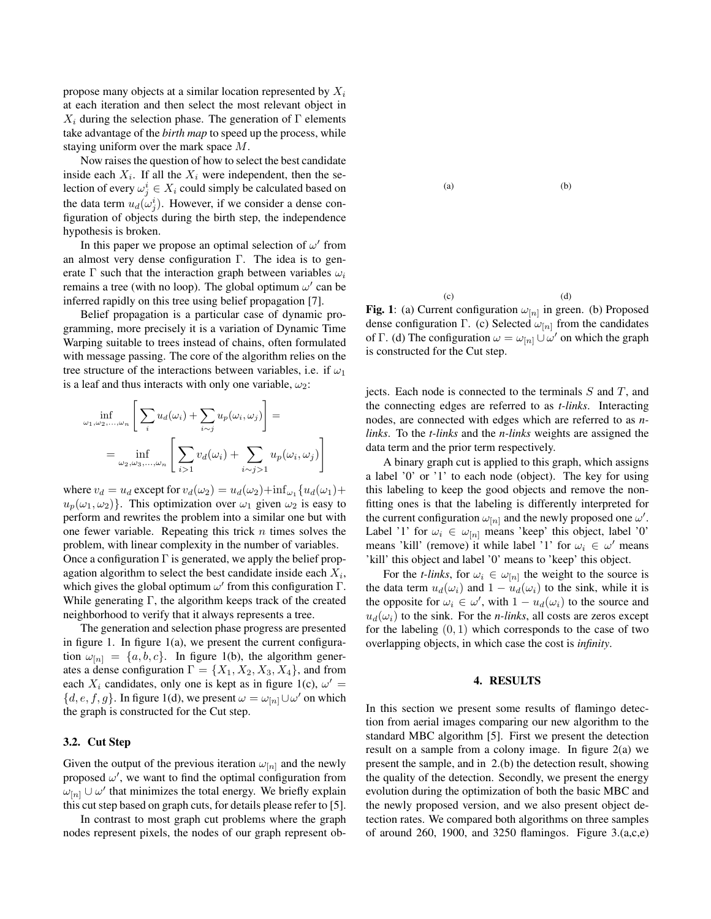propose many objects at a similar location represented by  $X_i$ at each iteration and then select the most relevant object in  $X_i$  during the selection phase. The generation of  $\Gamma$  elements take advantage of the *birth map* to speed up the process, while staying uniform over the mark space M.

Now raises the question of how to select the best candidate inside each  $X_i$ . If all the  $X_i$  were independent, then the selection of every  $\omega_j^i \in X_i$  could simply be calculated based on the data term  $u_d(\omega_j^i)$ . However, if we consider a dense configuration of objects during the birth step, the independence hypothesis is broken.

In this paper we propose an optimal selection of  $\omega'$  from an almost very dense configuration Γ. The idea is to generate Γ such that the interaction graph between variables  $\omega_i$ remains a tree (with no loop). The global optimum  $\omega'$  can be inferred rapidly on this tree using belief propagation [7].

Belief propagation is a particular case of dynamic programming, more precisely it is a variation of Dynamic Time Warping suitable to trees instead of chains, often formulated with message passing. The core of the algorithm relies on the tree structure of the interactions between variables, i.e. if  $\omega_1$ is a leaf and thus interacts with only one variable,  $\omega_2$ :

$$
\inf_{\omega_1,\omega_2,\dots,\omega_n} \left[ \sum_i u_d(\omega_i) + \sum_{i \sim j} u_p(\omega_i, \omega_j) \right] =
$$

$$
= \inf_{\omega_2,\omega_3,\dots,\omega_n} \left[ \sum_{i>1} v_d(\omega_i) + \sum_{i \sim j>1} u_p(\omega_i, \omega_j) \right]
$$

where  $v_d = u_d$  except for  $v_d(\omega_2) = u_d(\omega_2) + \inf_{\omega_1} \{u_d(\omega_1) +$  $u_p(\omega_1, \omega_2)$ . This optimization over  $\omega_1$  given  $\omega_2$  is easy to perform and rewrites the problem into a similar one but with one fewer variable. Repeating this trick  $n$  times solves the problem, with linear complexity in the number of variables. Once a configuration  $\Gamma$  is generated, we apply the belief propagation algorithm to select the best candidate inside each  $X_i$ , which gives the global optimum  $\omega'$  from this configuration  $\Gamma$ . While generating  $\Gamma$ , the algorithm keeps track of the created neighborhood to verify that it always represents a tree.

The generation and selection phase progress are presented in figure 1. In figure  $1(a)$ , we present the current configuration  $\omega_{[n]} = \{a, b, c\}$ . In figure 1(b), the algorithm generates a dense configuration  $\Gamma = \{X_1, X_2, X_3, X_4\}$ , and from each  $X_i$  candidates, only one is kept as in figure 1(c),  $\omega' =$  $\{d, e, f, g\}$ . In figure 1(d), we present  $\omega = \omega_{[n]} \cup \omega'$  on which the graph is constructed for the Cut step.

#### 3.2. Cut Step

Given the output of the previous iteration  $\omega_{[n]}$  and the newly proposed  $\omega'$ , we want to find the optimal configuration from  $\omega_{[n]} \cup \omega'$  that minimizes the total energy. We briefly explain this cut step based on graph cuts, for details please refer to [5].

In contrast to most graph cut problems where the graph nodes represent pixels, the nodes of our graph represent ob-



**Fig. 1**: (a) Current configuration  $\omega_{[n]}$  in green. (b) Proposed dense configuration Γ. (c) Selected  $\omega_{[n]}$  from the candidates of Γ. (d) The configuration  $\omega = \omega_{[n]} \cup \omega'$  on which the graph is constructed for the Cut step.

jects. Each node is connected to the terminals  $S$  and  $T$ , and the connecting edges are referred to as *t-links*. Interacting nodes, are connected with edges which are referred to as *nlinks*. To the *t-links* and the *n-links* weights are assigned the data term and the prior term respectively.

A binary graph cut is applied to this graph, which assigns a label '0' or '1' to each node (object). The key for using this labeling to keep the good objects and remove the nonfitting ones is that the labeling is differently interpreted for the current configuration  $\omega_{[n]}$  and the newly proposed one  $\omega'$ . Label '1' for  $\omega_i \in \omega_{[n]}$  means 'keep' this object, label '0' means 'kill' (remove) it while label '1' for  $\omega_i \in \omega'$  means 'kill' this object and label '0' means to 'keep' this object.

For the *t-links*, for  $\omega_i \in \omega_{[n]}$  the weight to the source is the data term  $u_d(\omega_i)$  and  $1 - u_d(\omega_i)$  to the sink, while it is the opposite for  $\omega_i \in \omega'$ , with  $1 - u_d(\omega_i)$  to the source and  $u_d(\omega_i)$  to the sink. For the *n-links*, all costs are zeros except for the labeling  $(0, 1)$  which corresponds to the case of two overlapping objects, in which case the cost is *infinity*.

#### 4. RESULTS

In this section we present some results of flamingo detection from aerial images comparing our new algorithm to the standard MBC algorithm [5]. First we present the detection result on a sample from a colony image. In figure 2(a) we present the sample, and in 2.(b) the detection result, showing the quality of the detection. Secondly, we present the energy evolution during the optimization of both the basic MBC and the newly proposed version, and we also present object detection rates. We compared both algorithms on three samples of around 260, 1900, and 3250 flamingos. Figure  $3(a,c,e)$